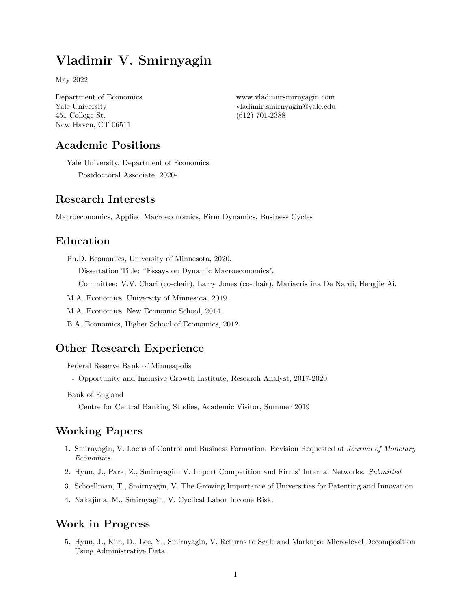# **Vladimir V. Smirnyagin**

May 2022

Department of Economics Yale University 451 College St. New Haven, CT 06511

<www.vladimirsmirnyagin.com> [vladimir.smirnyagin@yale.edu](mailto:vladimir.smirnyagin@yale.edu) (612) 701-2388

## **Academic Positions**

Yale University, Department of Economics Postdoctoral Associate, 2020-

### **Research Interests**

Macroeconomics, Applied Macroeconomics, Firm Dynamics, Business Cycles

#### **Education**

Ph.D. Economics, University of Minnesota, 2020.

Dissertation Title: "Essays on Dynamic Macroeconomics".

Committee: V.V. Chari (co-chair), Larry Jones (co-chair), Mariacristina De Nardi, Hengjie Ai.

- M.A. Economics, University of Minnesota, 2019.
- M.A. Economics, New Economic School, 2014.
- B.A. Economics, Higher School of Economics, 2012.

#### **Other Research Experience**

Federal Reserve Bank of Minneapolis

- Opportunity and Inclusive Growth Institute, Research Analyst, 2017-2020

Bank of England

Centre for Central Banking Studies, Academic Visitor, Summer 2019

## **Working Papers**

- 1. Smirnyagin, V. Locus of Control and Business Formation. Revision Requested at *Journal of Monetary Economics*.
- 2. Hyun, J., Park, Z., Smirnyagin, V. Import Competition and Firms' Internal Networks. *Submitted*.
- 3. Schoellman, T., Smirnyagin, V. The Growing Importance of Universities for Patenting and Innovation.
- 4. Nakajima, M., Smirnyagin, V. Cyclical Labor Income Risk.

### **Work in Progress**

5. Hyun, J., Kim, D., Lee, Y., Smirnyagin, V. Returns to Scale and Markups: Micro-level Decomposition Using Administrative Data.